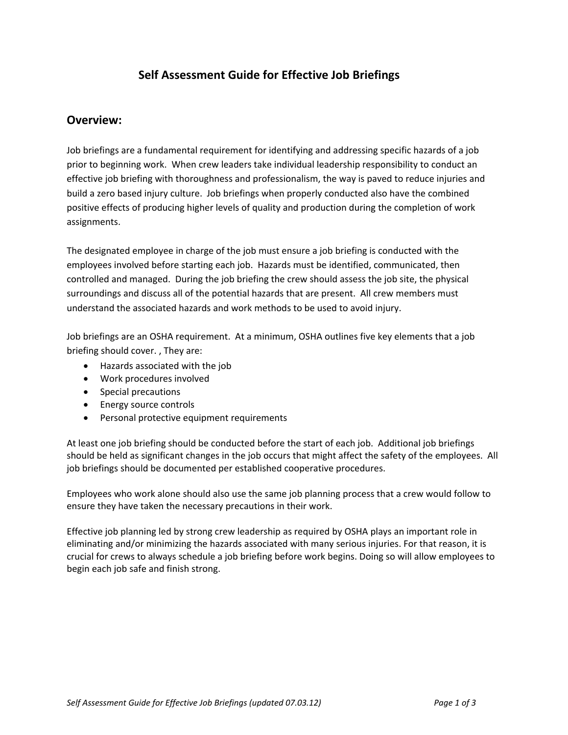## **Self Assessment Guide for Effective Job Briefings**

## **Overview:**

Job briefings are a fundamental requirement for identifying and addressing specific hazards of a job prior to beginning work. When crew leaders take individual leadership responsibility to conduct an effective job briefing with thoroughness and professionalism, the way is paved to reduce injuries and build a zero based injury culture. Job briefings when properly conducted also have the combined positive effects of producing higher levels of quality and production during the completion of work assignments.

The designated employee in charge of the job must ensure a job briefing is conducted with the employees involved before starting each job. Hazards must be identified, communicated, then controlled and managed. During the job briefing the crew should assess the job site, the physical surroundings and discuss all of the potential hazards that are present. All crew members must understand the associated hazards and work methods to be used to avoid injury.

Job briefings are an OSHA requirement. At a minimum, OSHA outlines five key elements that a job briefing should cover. , They are:

- Hazards associated with the job
- Work procedures involved
- Special precautions
- Energy source controls
- **•** Personal protective equipment requirements

At least one job briefing should be conducted before the start of each job. Additional job briefings should be held as significant changes in the job occurs that might affect the safety of the employees. All job briefings should be documented per established cooperative procedures.

Employees who work alone should also use the same job planning process that a crew would follow to ensure they have taken the necessary precautions in their work.

Effective job planning led by strong crew leadership as required by OSHA plays an important role in eliminating and/or minimizing the hazards associated with many serious injuries. For that reason, it is crucial for crews to always schedule a job briefing before work begins. Doing so will allow employees to begin each job safe and finish strong.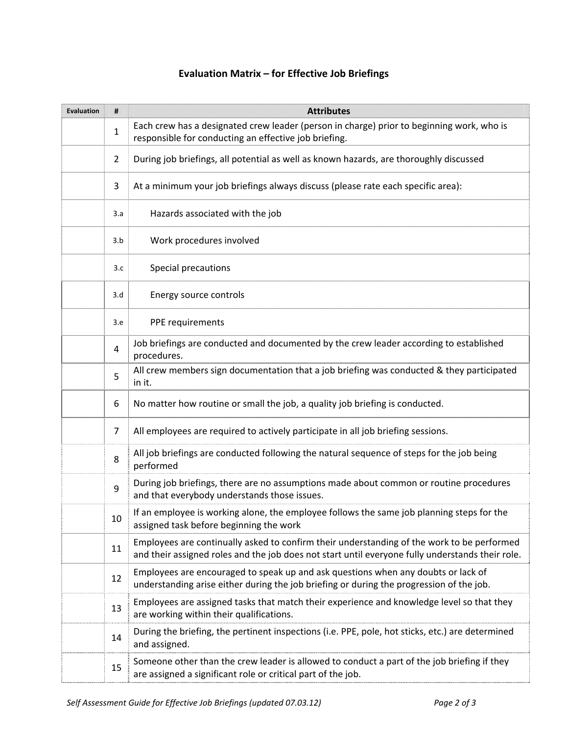## **Evaluation Matrix – for Effective Job Briefings**

| <b>Evaluation</b> | #                       | <b>Attributes</b>                                                                                                                                                                              |
|-------------------|-------------------------|------------------------------------------------------------------------------------------------------------------------------------------------------------------------------------------------|
|                   | 1                       | Each crew has a designated crew leader (person in charge) prior to beginning work, who is<br>responsible for conducting an effective job briefing.                                             |
|                   | $\overline{2}$          | During job briefings, all potential as well as known hazards, are thoroughly discussed                                                                                                         |
|                   | 3                       | At a minimum your job briefings always discuss (please rate each specific area):                                                                                                               |
|                   | 3.a                     | Hazards associated with the job                                                                                                                                                                |
|                   | 3.b                     | Work procedures involved                                                                                                                                                                       |
|                   | 3.c                     | Special precautions                                                                                                                                                                            |
|                   | 3.d                     | Energy source controls                                                                                                                                                                         |
|                   | 3.e                     | PPE requirements                                                                                                                                                                               |
|                   | $\overline{\mathbf{4}}$ | Job briefings are conducted and documented by the crew leader according to established<br>procedures.                                                                                          |
|                   | 5                       | All crew members sign documentation that a job briefing was conducted & they participated<br>in it.                                                                                            |
|                   | 6                       | No matter how routine or small the job, a quality job briefing is conducted.                                                                                                                   |
|                   | $\overline{7}$          | All employees are required to actively participate in all job briefing sessions.                                                                                                               |
|                   | 8                       | All job briefings are conducted following the natural sequence of steps for the job being<br>performed                                                                                         |
|                   | 9                       | During job briefings, there are no assumptions made about common or routine procedures<br>and that everybody understands those issues.                                                         |
|                   | 10                      | If an employee is working alone, the employee follows the same job planning steps for the<br>assigned task before beginning the work                                                           |
|                   | 11                      | Employees are continually asked to confirm their understanding of the work to be performed<br>and their assigned roles and the job does not start until everyone fully understands their role. |
|                   | 12                      | Employees are encouraged to speak up and ask questions when any doubts or lack of<br>understanding arise either during the job briefing or during the progression of the job.                  |
|                   | 13                      | Employees are assigned tasks that match their experience and knowledge level so that they<br>are working within their qualifications.                                                          |
|                   | 14                      | During the briefing, the pertinent inspections (i.e. PPE, pole, hot sticks, etc.) are determined<br>and assigned.                                                                              |
|                   | 15                      | Someone other than the crew leader is allowed to conduct a part of the job briefing if they<br>are assigned a significant role or critical part of the job.                                    |